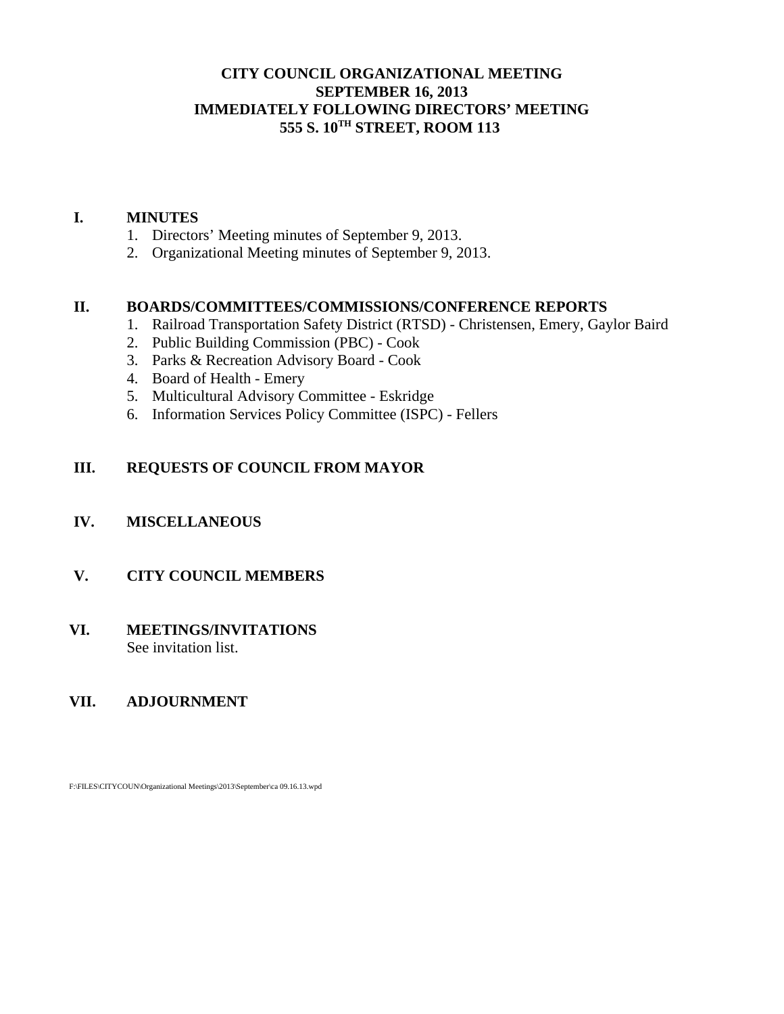### **CITY COUNCIL ORGANIZATIONAL MEETING SEPTEMBER 16, 2013 IMMEDIATELY FOLLOWING DIRECTORS' MEETING 555 S. 10TH STREET, ROOM 113**

### **I. MINUTES**

- 1. Directors' Meeting minutes of September 9, 2013.
- 2. Organizational Meeting minutes of September 9, 2013.

### **II. BOARDS/COMMITTEES/COMMISSIONS/CONFERENCE REPORTS**

- 1. Railroad Transportation Safety District (RTSD) Christensen, Emery, Gaylor Baird
- 2. Public Building Commission (PBC) Cook
- 3. Parks & Recreation Advisory Board Cook
- 4. Board of Health Emery
- 5. Multicultural Advisory Committee Eskridge
- 6. Information Services Policy Committee (ISPC) Fellers

### **III. REQUESTS OF COUNCIL FROM MAYOR**

### **IV. MISCELLANEOUS**

### **V. CITY COUNCIL MEMBERS**

### **VI. MEETINGS/INVITATIONS** See invitation list.

### **VII. ADJOURNMENT**

F:\FILES\CITYCOUN\Organizational Meetings\2013\September\ca 09.16.13.wpd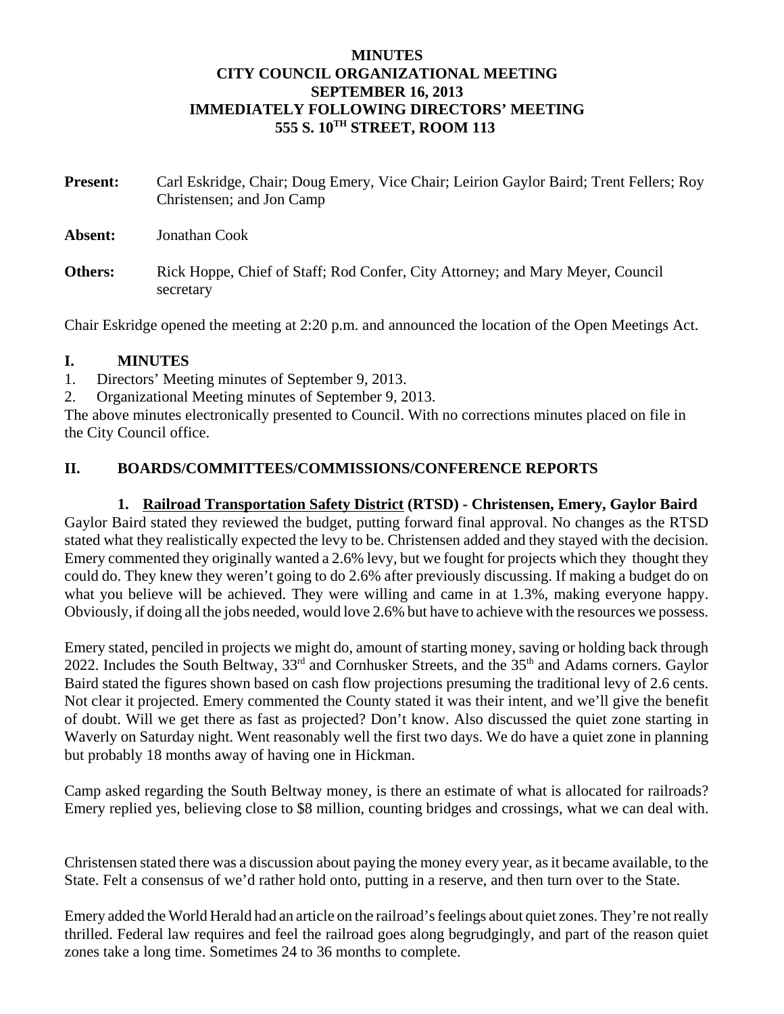### **MINUTES CITY COUNCIL ORGANIZATIONAL MEETING SEPTEMBER 16, 2013 IMMEDIATELY FOLLOWING DIRECTORS' MEETING 555 S. 10TH STREET, ROOM 113**

| <b>Present:</b> | Carl Eskridge, Chair; Doug Emery, Vice Chair; Leirion Gaylor Baird; Trent Fellers; Roy<br>Christensen; and Jon Camp |
|-----------------|---------------------------------------------------------------------------------------------------------------------|
| Absent:         | Jonathan Cook                                                                                                       |
| Others:         | Rick Hoppe, Chief of Staff; Rod Confer, City Attorney; and Mary Meyer, Council<br>secretary                         |

Chair Eskridge opened the meeting at 2:20 p.m. and announced the location of the Open Meetings Act.

### **I. MINUTES**

1. Directors' Meeting minutes of September 9, 2013.

2. Organizational Meeting minutes of September 9, 2013.

The above minutes electronically presented to Council. With no corrections minutes placed on file in the City Council office.

### **II. BOARDS/COMMITTEES/COMMISSIONS/CONFERENCE REPORTS**

#### **1. Railroad Transportation Safety District (RTSD) - Christensen, Emery, Gaylor Baird**

Gaylor Baird stated they reviewed the budget, putting forward final approval. No changes as the RTSD stated what they realistically expected the levy to be. Christensen added and they stayed with the decision. Emery commented they originally wanted a 2.6% levy, but we fought for projects which they thought they could do. They knew they weren't going to do 2.6% after previously discussing. If making a budget do on what you believe will be achieved. They were willing and came in at 1.3%, making everyone happy. Obviously, if doing all the jobs needed, would love 2.6% but have to achieve with the resources we possess.

Emery stated, penciled in projects we might do, amount of starting money, saving or holding back through 2022. Includes the South Beltway,  $33<sup>rd</sup>$  and Cornhusker Streets, and the  $35<sup>th</sup>$  and Adams corners. Gaylor Baird stated the figures shown based on cash flow projections presuming the traditional levy of 2.6 cents. Not clear it projected. Emery commented the County stated it was their intent, and we'll give the benefit of doubt. Will we get there as fast as projected? Don't know. Also discussed the quiet zone starting in Waverly on Saturday night. Went reasonably well the first two days. We do have a quiet zone in planning but probably 18 months away of having one in Hickman.

Camp asked regarding the South Beltway money, is there an estimate of what is allocated for railroads? Emery replied yes, believing close to \$8 million, counting bridges and crossings, what we can deal with.

Christensen stated there was a discussion about paying the money every year, as it became available, to the State. Felt a consensus of we'd rather hold onto, putting in a reserve, and then turn over to the State.

Emery added the World Herald had an article on the railroad's feelings about quiet zones. They're not really thrilled. Federal law requires and feel the railroad goes along begrudgingly, and part of the reason quiet zones take a long time. Sometimes 24 to 36 months to complete.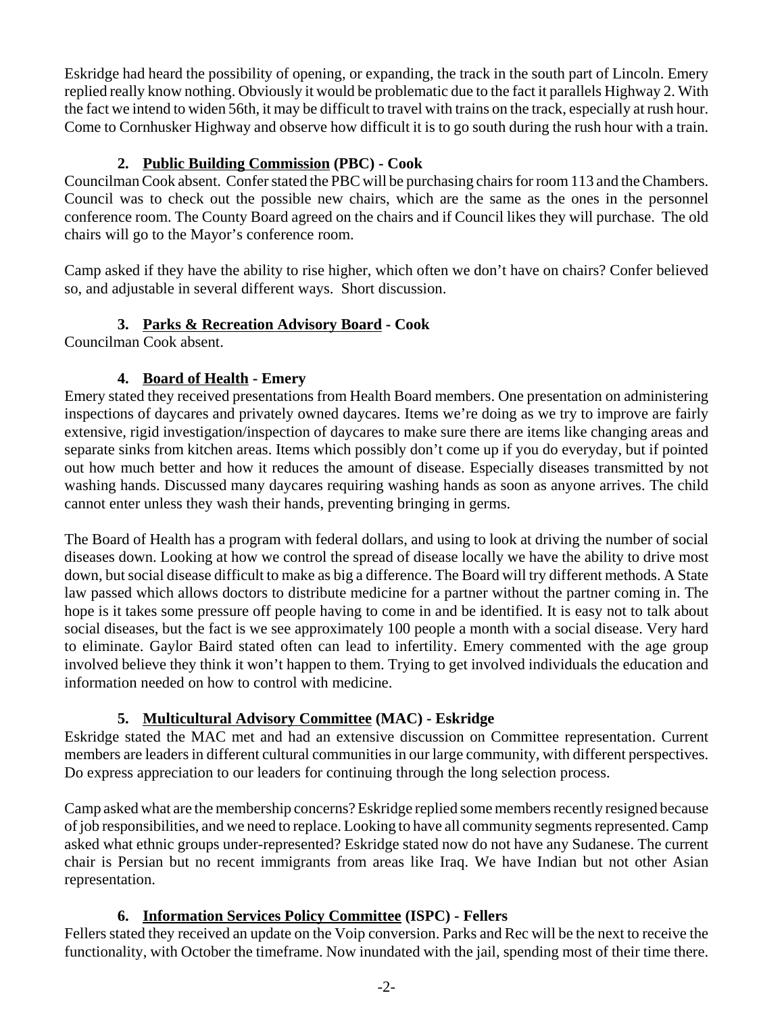Eskridge had heard the possibility of opening, or expanding, the track in the south part of Lincoln. Emery replied really know nothing. Obviously it would be problematic due to the fact it parallels Highway 2. With the fact we intend to widen 56th, it may be difficult to travel with trains on the track, especially at rush hour. Come to Cornhusker Highway and observe how difficult it is to go south during the rush hour with a train.

# **2. Public Building Commission (PBC) - Cook**

Councilman Cook absent. Confer stated the PBC will be purchasing chairs for room 113 and the Chambers. Council was to check out the possible new chairs, which are the same as the ones in the personnel conference room. The County Board agreed on the chairs and if Council likes they will purchase. The old chairs will go to the Mayor's conference room.

Camp asked if they have the ability to rise higher, which often we don't have on chairs? Confer believed so, and adjustable in several different ways. Short discussion.

# **3. Parks & Recreation Advisory Board - Cook**

Councilman Cook absent.

# **4. Board of Health - Emery**

Emery stated they received presentations from Health Board members. One presentation on administering inspections of daycares and privately owned daycares. Items we're doing as we try to improve are fairly extensive, rigid investigation/inspection of daycares to make sure there are items like changing areas and separate sinks from kitchen areas. Items which possibly don't come up if you do everyday, but if pointed out how much better and how it reduces the amount of disease. Especially diseases transmitted by not washing hands. Discussed many daycares requiring washing hands as soon as anyone arrives. The child cannot enter unless they wash their hands, preventing bringing in germs.

The Board of Health has a program with federal dollars, and using to look at driving the number of social diseases down. Looking at how we control the spread of disease locally we have the ability to drive most down, but social disease difficult to make as big a difference. The Board will try different methods. A State law passed which allows doctors to distribute medicine for a partner without the partner coming in. The hope is it takes some pressure off people having to come in and be identified. It is easy not to talk about social diseases, but the fact is we see approximately 100 people a month with a social disease. Very hard to eliminate. Gaylor Baird stated often can lead to infertility. Emery commented with the age group involved believe they think it won't happen to them. Trying to get involved individuals the education and information needed on how to control with medicine.

# **5. Multicultural Advisory Committee (MAC) - Eskridge**

Eskridge stated the MAC met and had an extensive discussion on Committee representation. Current members are leaders in different cultural communities in our large community, with different perspectives. Do express appreciation to our leaders for continuing through the long selection process.

Camp asked what are the membership concerns? Eskridge replied some members recently resigned because of job responsibilities, and we need to replace. Looking to have all community segments represented. Camp asked what ethnic groups under-represented? Eskridge stated now do not have any Sudanese. The current chair is Persian but no recent immigrants from areas like Iraq. We have Indian but not other Asian representation.

# **6. Information Services Policy Committee (ISPC) - Fellers**

Fellers stated they received an update on the Voip conversion. Parks and Rec will be the next to receive the functionality, with October the timeframe. Now inundated with the jail, spending most of their time there.